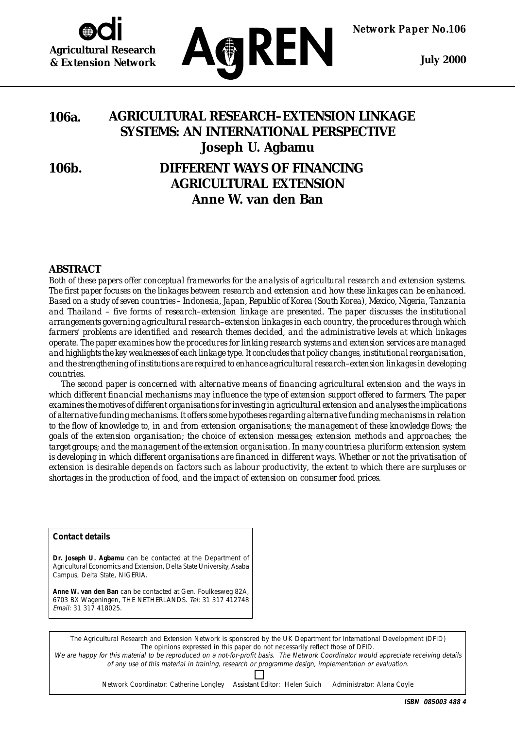*Network Paper No.106*

 **July 2000**





**106b.**

# **DIFFERENT WAYS OF FINANCING AGRICULTURAL EXTENSION Anne W. van den Ban**

**REN** 

## **ABSTRACT**

*Both of these papers offer conceptual frameworks for the analysis of agricultural research and extension systems. The first paper focuses on the linkages between research and extension and how these linkages can be enhanced. Based on a study of seven countries – Indonesia, Japan, Republic of Korea (South Korea), Mexico, Nigeria, Tanzania and Thailand – five forms of research–extension linkage are presented. The paper discusses the institutional arrangements governing agricultural research–extension linkages in each country, the procedures through which farmers' problems are identified and research themes decided, and the administrative levels at which linkages operate. The paper examines how the procedures for linking research systems and extension services are managed and highlights the key weaknesses of each linkage type. It concludes that policy changes, institutional reorganisation, and the strengthening of institutions are required to enhance agricultural research–extension linkages in developing countries.*

*The second paper is concerned with alternative means of financing agricultural extension and the ways in which different financial mechanisms may influence the type of extension support offered to farmers. The paper examines the motives of different organisations for investing in agricultural extension and analyses the implications of alternative funding mechanisms. It offers some hypotheses regarding alternative funding mechanisms in relation to the flow of knowledge to, in and from extension organisations; the management of these knowledge flows; the goals of the extension organisation; the choice of extension messages; extension methods and approaches; the target groups; and the management of the extension organisation. In many countries a pluriform extension system is developing in which different organisations are financed in different ways. Whether or not the privatisation of extension is desirable depends on factors such as labour productivity, the extent to which there are surpluses or shortages in the production of food, and the impact of extension on consumer food prices.*

#### **Contact details**

**Dr. Joseph U. Agbamu** can be contacted at the Department of Agricultural Economics and Extension, Delta State University, Asaba Campus, Delta State, NIGERIA.

**Anne W. van den Ban** can be contacted at Gen. Foulkesweg 82A, 6703 BX Wageningen, THE NETHERLANDS. Tel: 31 317 412748 Email: 31 317 418025.

The Agricultural Research and Extension Network is sponsored by the UK Department for International Development (DFID) The opinions expressed in this paper do not necessarily reflect those of DFID. We are happy for this material to be reproduced on a not-for-profit basis. The Network Coordinator would appreciate receiving details of any use of this material in training, research or programme design, implementation or evaluation.

Network Coordinator: Catherine Longley Assistant Editor: Helen Suich Administrator: Alana Coyle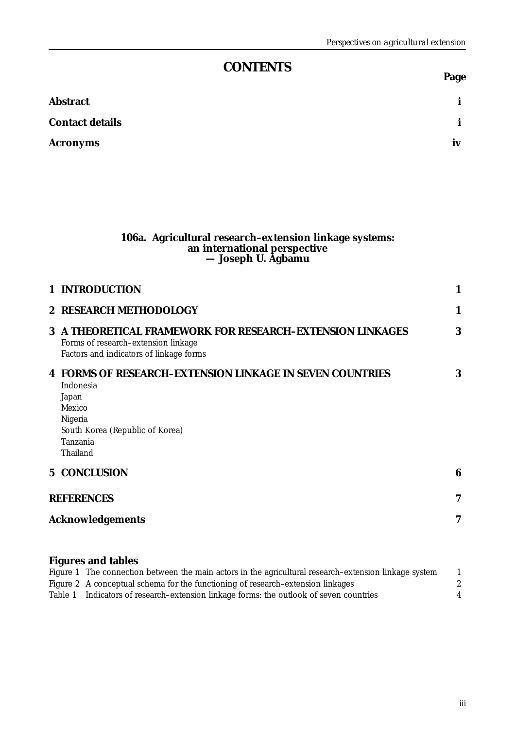| <b>CONTENTS</b>        |  |      |  |
|------------------------|--|------|--|
|                        |  | Page |  |
| Abstract               |  | Ť    |  |
| <b>Contact details</b> |  | i    |  |
| <b>Acronyms</b>        |  | iv   |  |
|                        |  |      |  |

## **106a. Agricultural research–extension linkage systems: an international perspective — Joseph U. Agbamu**

| 1 INTRODUCTION                                                                                                                                                        | 1 |
|-----------------------------------------------------------------------------------------------------------------------------------------------------------------------|---|
| 2 RESEARCH METHODOLOGY                                                                                                                                                |   |
| <b>3 A THEORETICAL FRAMEWORK FOR RESEARCH-EXTENSION LINKAGES</b><br>Forms of research-extension linkage<br>Factors and indicators of linkage forms                    | 3 |
| <b>4 FORMS OF RESEARCH-EXTENSION LINKAGE IN SEVEN COUNTRIES</b><br>Indonesia<br>Japan<br>Mexico<br>Nigeria<br>South Korea (Republic of Korea)<br>Tanzania<br>Thailand | 3 |
| <b>5 CONCLUSION</b>                                                                                                                                                   | 6 |
| <b>REFERENCES</b>                                                                                                                                                     | 7 |
| <b>Acknowledgements</b>                                                                                                                                               | 7 |
|                                                                                                                                                                       |   |

# **Figures and tables**

| Figure 1 The connection between the main actors in the agricultural research–extension linkage system |   |
|-------------------------------------------------------------------------------------------------------|---|
| Figure 2 A conceptual schema for the functioning of research-extension linkages                       |   |
| Table 1 Indicators of research-extension linkage forms: the outlook of seven countries                | 4 |
|                                                                                                       |   |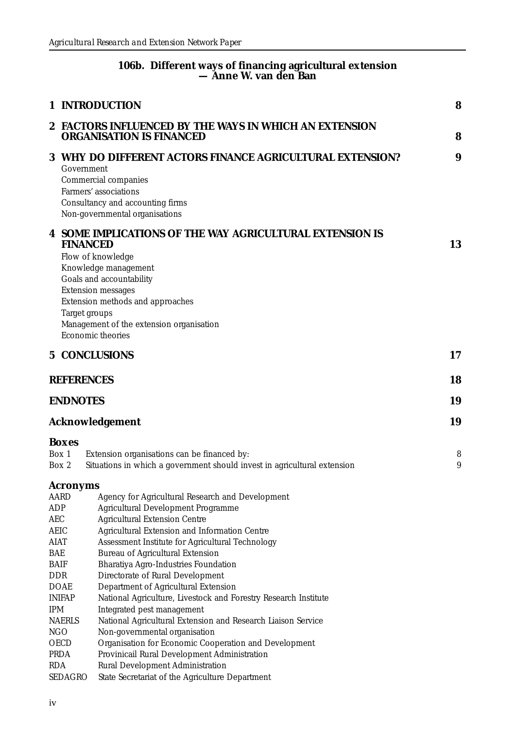## **106b. Different ways of financing agricultural extension — Anne W. van den Ban**

|                                                                                                       | 1 INTRODUCTION                                                                                                                                                                                                                                                                                                                                                                                                                                                                                                                                                                                                                                                                                                                                                                                                                           | 8      |  |  |  |  |
|-------------------------------------------------------------------------------------------------------|------------------------------------------------------------------------------------------------------------------------------------------------------------------------------------------------------------------------------------------------------------------------------------------------------------------------------------------------------------------------------------------------------------------------------------------------------------------------------------------------------------------------------------------------------------------------------------------------------------------------------------------------------------------------------------------------------------------------------------------------------------------------------------------------------------------------------------------|--------|--|--|--|--|
|                                                                                                       | 2 FACTORS INFLUENCED BY THE WAYS IN WHICH AN EXTENSION<br><b>ORGANISATION IS FINANCED</b>                                                                                                                                                                                                                                                                                                                                                                                                                                                                                                                                                                                                                                                                                                                                                | 8      |  |  |  |  |
|                                                                                                       | <b>3 WHY DO DIFFERENT ACTORS FINANCE AGRICULTURAL EXTENSION?</b><br>Government<br>Commercial companies<br>Farmers' associations<br>Consultancy and accounting firms<br>Non-governmental organisations                                                                                                                                                                                                                                                                                                                                                                                                                                                                                                                                                                                                                                    | 9      |  |  |  |  |
|                                                                                                       | 4 SOME IMPLICATIONS OF THE WAY AGRICULTURAL EXTENSION IS<br><b>FINANCED</b><br>Flow of knowledge<br>Knowledge management<br>Goals and accountability<br>Extension messages<br>Extension methods and approaches<br>Target groups<br>Management of the extension organisation<br>Economic theories                                                                                                                                                                                                                                                                                                                                                                                                                                                                                                                                         | 13     |  |  |  |  |
|                                                                                                       | 5 CONCLUSIONS                                                                                                                                                                                                                                                                                                                                                                                                                                                                                                                                                                                                                                                                                                                                                                                                                            |        |  |  |  |  |
|                                                                                                       | REFERENCES                                                                                                                                                                                                                                                                                                                                                                                                                                                                                                                                                                                                                                                                                                                                                                                                                               | 18     |  |  |  |  |
|                                                                                                       | <b>ENDNOTES</b>                                                                                                                                                                                                                                                                                                                                                                                                                                                                                                                                                                                                                                                                                                                                                                                                                          | 19     |  |  |  |  |
|                                                                                                       | <b>Acknowledgement</b>                                                                                                                                                                                                                                                                                                                                                                                                                                                                                                                                                                                                                                                                                                                                                                                                                   | 19     |  |  |  |  |
| Box 1<br>Box 2                                                                                        | Boxes<br>Extension organisations can be financed by:<br>Situations in which a government should invest in agricultural extension                                                                                                                                                                                                                                                                                                                                                                                                                                                                                                                                                                                                                                                                                                         | 8<br>9 |  |  |  |  |
| AARD<br>ADP<br>AEC<br>AEIC<br>AIAT<br>BAE<br>BAIF<br>DDR<br>DOAE<br>IPM<br>NGO<br>OECD<br>PRDA<br>RDA | Acronyms<br>Agency for Agricultural Research and Development<br>Agricultural Development Programme<br><b>Agricultural Extension Centre</b><br>Agricultural Extension and Information Centre<br>Assessment Institute for Agricultural Technology<br>Bureau of Agricultural Extension<br>Bharatiya Agro-Industries Foundation<br>Directorate of Rural Development<br>Department of Agricultural Extension<br>INIFAP<br>National Agriculture, Livestock and Forestry Research Institute<br>Integrated pest management<br>NAERLS<br>National Agricultural Extension and Research Liaison Service<br>Non-governmental organisation<br>Organisation for Economic Cooperation and Development<br>Provinicail Rural Development Administration<br>Rural Development Administration<br>SEDAGRO<br>State Secretariat of the Agriculture Department |        |  |  |  |  |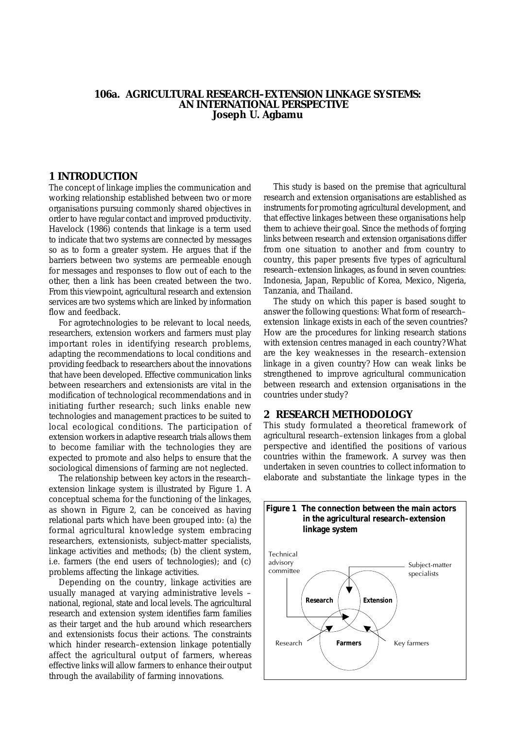#### **106a. AGRICULTURAL RESEARCH–EXTENSION LINKAGE SYSTEMS: AN INTERNATIONAL PERSPECTIVE Joseph U. Agbamu**

#### **1 INTRODUCTION**

The concept of linkage implies the communication and working relationship established between two or more organisations pursuing commonly shared objectives in order to have regular contact and improved productivity. Havelock (1986) contends that linkage is a term used to indicate that two systems are connected by messages so as to form a greater system. He argues that if the barriers between two systems are permeable enough for messages and responses to flow out of each to the other, then a link has been created between the two. From this viewpoint, agricultural research and extension services are two systems which are linked by information flow and feedback.

For agrotechnologies to be relevant to local needs, researchers, extension workers and farmers must play important roles in identifying research problems, adapting the recommendations to local conditions and providing feedback to researchers about the innovations that have been developed. Effective communication links between researchers and extensionists are vital in the modification of technological recommendations and in initiating further research; such links enable new technologies and management practices to be suited to local ecological conditions. The participation of extension workers in adaptive research trials allows them to become familiar with the technologies they are expected to promote and also helps to ensure that the sociological dimensions of farming are not neglected.

The relationship between key actors in the research– extension linkage system is illustrated by Figure 1. A conceptual schema for the functioning of the linkages, as shown in Figure 2, can be conceived as having relational parts which have been grouped into: (a) the formal agricultural knowledge system embracing researchers, extensionists, subject-matter specialists, linkage activities and methods; (b) the client system, i.e. farmers (the end users of technologies); and (c) problems affecting the linkage activities.

Depending on the country, linkage activities are usually managed at varying administrative levels – national, regional, state and local levels. The agricultural research and extension system identifies farm families as their target and the hub around which researchers and extensionists focus their actions. The constraints which hinder research–extension linkage potentially affect the agricultural output of farmers, whereas effective links will allow farmers to enhance their output through the availability of farming innovations.

This study is based on the premise that agricultural research and extension organisations are established as instruments for promoting agricultural development, and that effective linkages between these organisations help them to achieve their goal. Since the methods of forging links between research and extension organisations differ from one situation to another and from country to country, this paper presents five types of agricultural research–extension linkages, as found in seven countries: Indonesia, Japan, Republic of Korea, Mexico, Nigeria, Tanzania, and Thailand.

The study on which this paper is based sought to answer the following questions: What form of research– extension linkage exists in each of the seven countries? How are the procedures for linking research stations with extension centres managed in each country? What are the key weaknesses in the research–extension linkage in a given country? How can weak links be strengthened to improve agricultural communication between research and extension organisations in the countries under study?

#### **2 RESEARCH METHODOLOGY**

This study formulated a theoretical framework of agricultural research–extension linkages from a global perspective and identified the positions of various countries within the framework. A survey was then undertaken in seven countries to collect information to elaborate and substantiate the linkage types in the

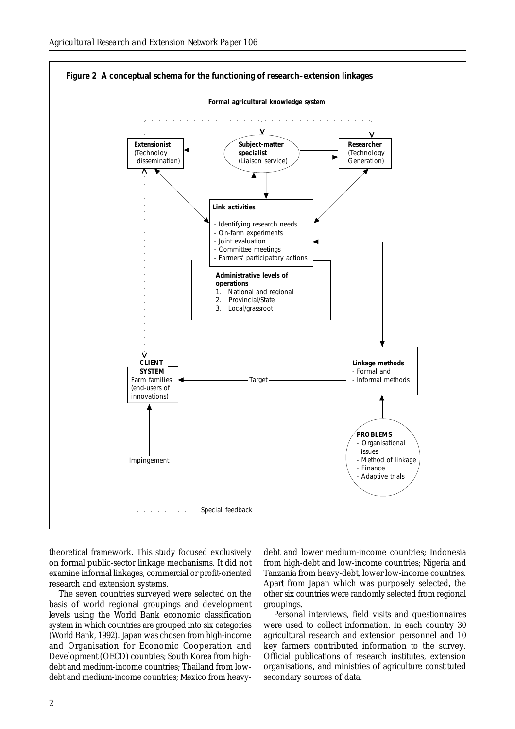

theoretical framework. This study focused exclusively on formal public-sector linkage mechanisms. It did not examine informal linkages, commercial or profit-oriented research and extension systems.

The seven countries surveyed were selected on the basis of world regional groupings and development levels using the World Bank economic classification system in which countries are grouped into six categories (World Bank, 1992). Japan was chosen from high-income and Organisation for Economic Cooperation and Development (OECD) countries; South Korea from highdebt and medium-income countries; Thailand from lowdebt and medium-income countries; Mexico from heavy-

debt and lower medium-income countries; Indonesia from high-debt and low-income countries; Nigeria and Tanzania from heavy-debt, lower low-income countries. Apart from Japan which was purposely selected, the other six countries were randomly selected from regional groupings.

Personal interviews, field visits and questionnaires were used to collect information. In each country 30 agricultural research and extension personnel and 10 key farmers contributed information to the survey. Official publications of research institutes, extension organisations, and ministries of agriculture constituted secondary sources of data.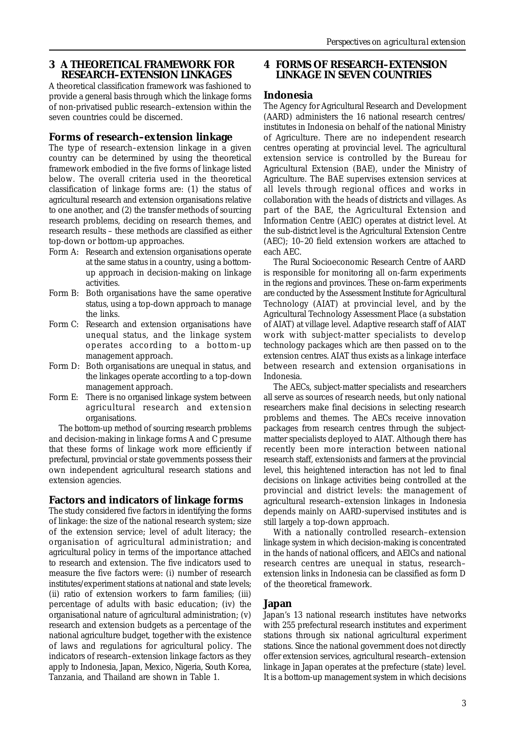## **3 A THEORETICAL FRAMEWORK FOR RESEARCH–EXTENSION LINKAGES**

A theoretical classification framework was fashioned to provide a general basis through which the linkage forms of non-privatised public research–extension within the seven countries could be discerned.

## **Forms of research–extension linkage**

The type of research–extension linkage in a given country can be determined by using the theoretical framework embodied in the five forms of linkage listed below. The overall criteria used in the theoretical classification of linkage forms are: (1) the status of agricultural research and extension organisations relative to one another, and (2) the transfer methods of sourcing research problems, deciding on research themes, and research results – these methods are classified as either top-down or bottom-up approaches.

- Form A: Research and extension organisations operate at the same status in a country, using a bottomup approach in decision-making on linkage activities.
- Form B: Both organisations have the same operative status, using a top-down approach to manage the links.
- Form C: Research and extension organisations have unequal status, and the linkage system operates according to a bottom-up management approach.
- Form D: Both organisations are unequal in status, and the linkages operate according to a top-down management approach.
- Form E: There is no organised linkage system between agricultural research and extension organisations.

The bottom-up method of sourcing research problems and decision-making in linkage forms A and C presume that these forms of linkage work more efficiently if prefectural, provincial or state governments possess their own independent agricultural research stations and extension agencies.

## **Factors and indicators of linkage forms**

The study considered five factors in identifying the forms of linkage: the size of the national research system; size of the extension service; level of adult literacy; the organisation of agricultural administration; and agricultural policy in terms of the importance attached to research and extension. The five indicators used to measure the five factors were: (i) number of research institutes/experiment stations at national and state levels; (ii) ratio of extension workers to farm families; (iii) percentage of adults with basic education; (iv) the organisational nature of agricultural administration; (v) research and extension budgets as a percentage of the national agriculture budget, together with the existence of laws and regulations for agricultural policy. The indicators of research–extension linkage factors as they apply to Indonesia, Japan, Mexico, Nigeria, South Korea, Tanzania, and Thailand are shown in Table 1.

## **4 FORMS OF RESEARCH–EXTENSION LINKAGE IN SEVEN COUNTRIES**

## **Indonesia**

The Agency for Agricultural Research and Development (AARD) administers the 16 national research centres/ institutes in Indonesia on behalf of the national Ministry of Agriculture. There are no independent research centres operating at provincial level. The agricultural extension service is controlled by the Bureau for Agricultural Extension (BAE), under the Ministry of Agriculture. The BAE supervises extension services at all levels through regional offices and works in collaboration with the heads of districts and villages. As part of the BAE, the Agricultural Extension and Information Centre (AEIC) operates at district level. At the sub-district level is the Agricultural Extension Centre (AEC); 10–20 field extension workers are attached to each AEC.

The Rural Socioeconomic Research Centre of AARD is responsible for monitoring all on-farm experiments in the regions and provinces. These on-farm experiments are conducted by the Assessment Institute for Agricultural Technology (AIAT) at provincial level, and by the Agricultural Technology Assessment Place (a substation of AIAT) at village level. Adaptive research staff of AIAT work with subject-matter specialists to develop technology packages which are then passed on to the extension centres. AIAT thus exists as a linkage interface between research and extension organisations in Indonesia.

The AECs, subject-matter specialists and researchers all serve as sources of research needs, but only national researchers make final decisions in selecting research problems and themes. The AECs receive innovation packages from research centres through the subjectmatter specialists deployed to AIAT. Although there has recently been more interaction between national research staff, extensionists and farmers at the provincial level, this heightened interaction has not led to final decisions on linkage activities being controlled at the provincial and district levels: the management of agricultural research–extension linkages in Indonesia depends mainly on AARD-supervised institutes and is still largely a top-down approach.

With a nationally controlled research–extension linkage system in which decision-making is concentrated in the hands of national officers, and AEICs and national research centres are unequal in status, research– extension links in Indonesia can be classified as form D of the theoretical framework.

## **Japan**

Japan's 13 national research institutes have networks with 255 prefectural research institutes and experiment stations through six national agricultural experiment stations. Since the national government does not directly offer extension services, agricultural research–extension linkage in Japan operates at the prefecture (state) level. It is a bottom-up management system in which decisions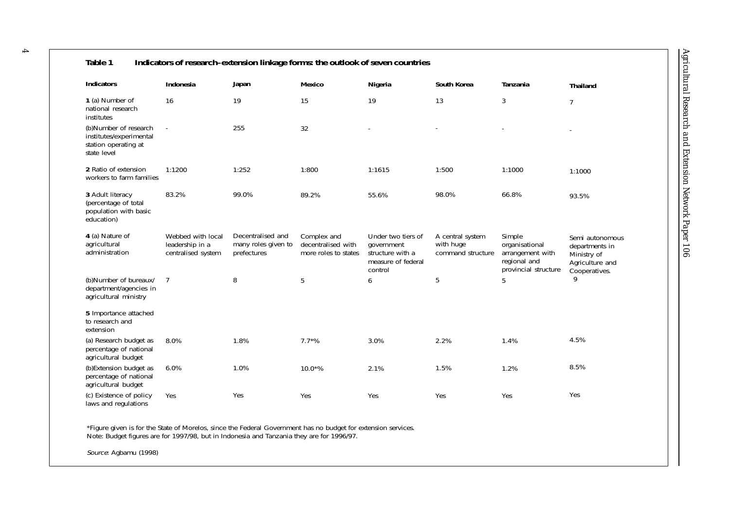| Table 1<br>Indicators of research-extension linkage forms: the outlook of seven countries |                                                            |                                                         |                                                           |                                                                                       |                                                    |                                                                                      |                                                                                      |
|-------------------------------------------------------------------------------------------|------------------------------------------------------------|---------------------------------------------------------|-----------------------------------------------------------|---------------------------------------------------------------------------------------|----------------------------------------------------|--------------------------------------------------------------------------------------|--------------------------------------------------------------------------------------|
| Indicators                                                                                | Indonesia                                                  | Japan                                                   | Mexico                                                    | Nigeria                                                                               | South Korea                                        | Tanzania                                                                             | Thailand                                                                             |
| 1 (a) Number of<br>national research<br>institutes                                        | 16                                                         | 19                                                      | 15                                                        | 19                                                                                    | 13                                                 | 3                                                                                    | $\overline{7}$                                                                       |
| (b)Number of research<br>institutes/experimental<br>station operating at<br>state level   |                                                            | 255                                                     | 32                                                        |                                                                                       |                                                    |                                                                                      |                                                                                      |
| 2 Ratio of extension<br>workers to farm families                                          | 1:1200                                                     | 1:252                                                   | 1:800                                                     | 1:1615                                                                                | 1:500                                              | 1:1000                                                                               | 1:1000                                                                               |
| 3 Adult literacy<br>(percentage of total<br>population with basic<br>education)           | 83.2%                                                      | 99.0%                                                   | 89.2%                                                     | 55.6%                                                                                 | 98.0%                                              | 66.8%                                                                                | 93.5%                                                                                |
| 4 (a) Nature of<br>agricultural<br>administration                                         | Webbed with local<br>leadership in a<br>centralised system | Decentralised and<br>many roles given to<br>prefectures | Complex and<br>decentralised with<br>more roles to states | Under two tiers of<br>government<br>structure with a<br>measure of federal<br>control | A central system<br>with huge<br>command structure | Simple<br>organisational<br>arrangement with<br>regional and<br>provincial structure | Semi autonomous<br>departments in<br>Ministry of<br>Agriculture and<br>Cooperatives. |
| (b)Number of bureaux/<br>department/agencies in<br>agricultural ministry                  | $\overline{7}$                                             | 8                                                       | 5                                                         | 6                                                                                     | 5                                                  | 5                                                                                    | 9                                                                                    |
| 5 Importance attached<br>to research and<br>extension                                     |                                                            |                                                         |                                                           |                                                                                       |                                                    |                                                                                      |                                                                                      |
| (a) Research budget as<br>percentage of national<br>agricultural budget                   | 8.0%                                                       | 1.8%                                                    | $7.7*%$                                                   | 3.0%                                                                                  | 2.2%                                               | 1.4%                                                                                 | 4.5%                                                                                 |
| (b) Extension budget as<br>percentage of national<br>agricultural budget                  | 6.0%                                                       | 1.0%                                                    | 10.0*%                                                    | 2.1%                                                                                  | 1.5%                                               | 1.2%                                                                                 | 8.5%                                                                                 |
| (c) Existence of policy<br>laws and regulations                                           | Yes                                                        | Yes                                                     | Yes                                                       | Yes                                                                                   | Yes                                                | Yes                                                                                  | Yes                                                                                  |

\*Figure given is for the State of Morelos, since the Federal Government has no budget for extension services. Note: Budget figures are for 1997/98, but in Indonesia and Tanzania they are for 1996/97.

Source: Agbamu (1998)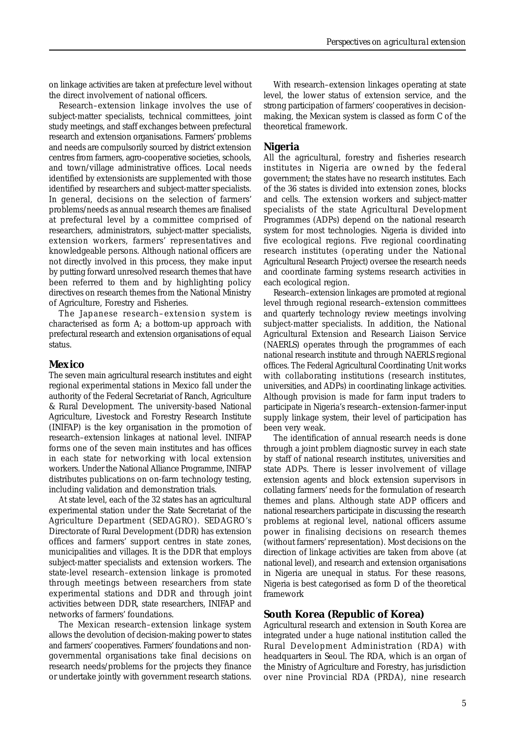on linkage activities are taken at prefecture level without the direct involvement of national officers.

Research–extension linkage involves the use of subject-matter specialists, technical committees, joint study meetings, and staff exchanges between prefectural research and extension organisations. Farmers' problems and needs are compulsorily sourced by district extension centres from farmers, agro-cooperative societies, schools, and town/village administrative offices. Local needs identified by extensionists are supplemented with those identified by researchers and subject-matter specialists. In general, decisions on the selection of farmers' problems/needs as annual research themes are finalised at prefectural level by a committee comprised of researchers, administrators, subject-matter specialists, extension workers, farmers' representatives and knowledgeable persons. Although national officers are not directly involved in this process, they make input by putting forward unresolved research themes that have been referred to them and by highlighting policy directives on research themes from the National Ministry of Agriculture, Forestry and Fisheries.

The Japanese research–extension system is characterised as form A; a bottom-up approach with prefectural research and extension organisations of equal status.

#### **Mexico**

The seven main agricultural research institutes and eight regional experimental stations in Mexico fall under the authority of the Federal Secretariat of Ranch, Agriculture & Rural Development. The university-based National Agriculture, Livestock and Forestry Research Institute (INIFAP) is the key organisation in the promotion of research–extension linkages at national level. INIFAP forms one of the seven main institutes and has offices in each state for networking with local extension workers. Under the National Alliance Programme, INIFAP distributes publications on on-farm technology testing, including validation and demonstration trials.

At state level, each of the 32 states has an agricultural experimental station under the State Secretariat of the Agriculture Department (SEDAGRO). SEDAGRO's Directorate of Rural Development (DDR) has extension offices and farmers' support centres in state zones, municipalities and villages. It is the DDR that employs subject-matter specialists and extension workers. The state-level research–extension linkage is promoted through meetings between researchers from state experimental stations and DDR and through joint activities between DDR, state researchers, INIFAP and networks of farmers' foundations.

The Mexican research–extension linkage system allows the devolution of decision-making power to states and farmers' cooperatives. Farmers' foundations and nongovernmental organisations take final decisions on research needs/problems for the projects they finance or undertake jointly with government research stations.

With research–extension linkages operating at state level, the lower status of extension service, and the strong participation of farmers' cooperatives in decisionmaking, the Mexican system is classed as form C of the theoretical framework.

## **Nigeria**

All the agricultural, forestry and fisheries research institutes in Nigeria are owned by the federal government; the states have no research institutes. Each of the 36 states is divided into extension zones, blocks and cells. The extension workers and subject-matter specialists of the state Agricultural Development Programmes (ADPs) depend on the national research system for most technologies. Nigeria is divided into five ecological regions. Five regional coordinating research institutes (operating under the National Agricultural Research Project) oversee the research needs and coordinate farming systems research activities in each ecological region.

Research–extension linkages are promoted at regional level through regional research–extension committees and quarterly technology review meetings involving subject-matter specialists. In addition, the National Agricultural Extension and Research Liaison Service (NAERLS) operates through the programmes of each national research institute and through NAERLS regional offices. The Federal Agricultural Coordinating Unit works with collaborating institutions (research institutes, universities, and ADPs) in coordinating linkage activities. Although provision is made for farm input traders to participate in Nigeria's research–extension-farmer-input supply linkage system, their level of participation has been very weak.

The identification of annual research needs is done through a joint problem diagnostic survey in each state by staff of national research institutes, universities and state ADPs. There is lesser involvement of village extension agents and block extension supervisors in collating farmers' needs for the formulation of research themes and plans. Although state ADP officers and national researchers participate in discussing the research problems at regional level, national officers assume power in finalising decisions on research themes (without farmers' representation). Most decisions on the direction of linkage activities are taken from above (at national level), and research and extension organisations in Nigeria are unequal in status. For these reasons, Nigeria is best categorised as form D of the theoretical framework

## **South Korea (Republic of Korea)**

Agricultural research and extension in South Korea are integrated under a huge national institution called the Rural Development Administration (RDA) with headquarters in Seoul. The RDA, which is an organ of the Ministry of Agriculture and Forestry, has jurisdiction over nine Provincial RDA (PRDA), nine research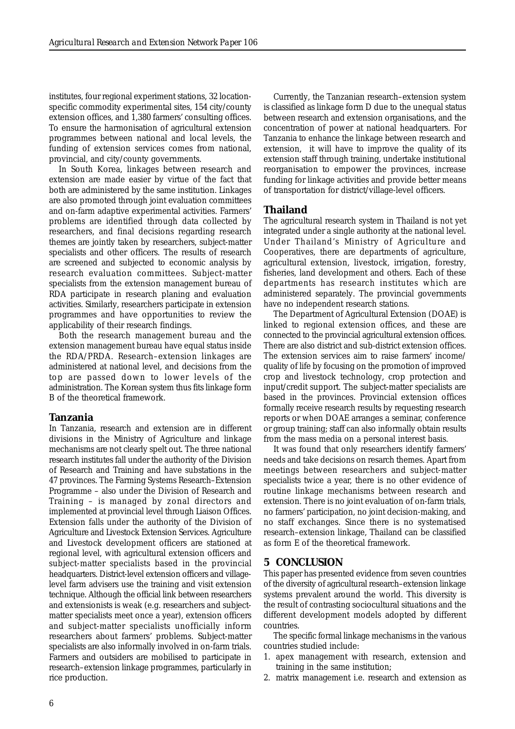institutes, four regional experiment stations, 32 locationspecific commodity experimental sites, 154 city/county extension offices, and 1,380 farmers' consulting offices. To ensure the harmonisation of agricultural extension programmes between national and local levels, the funding of extension services comes from national, provincial, and city/county governments.

In South Korea, linkages between research and extension are made easier by virtue of the fact that both are administered by the same institution. Linkages are also promoted through joint evaluation committees and on-farm adaptive experimental activities. Farmers' problems are identified through data collected by researchers, and final decisions regarding research themes are jointly taken by researchers, subject-matter specialists and other officers. The results of research are screened and subjected to economic analysis by research evaluation committees. Subject-matter specialists from the extension management bureau of RDA participate in research planing and evaluation activities. Similarly, researchers participate in extension programmes and have opportunities to review the applicability of their research findings.

Both the research management bureau and the extension management bureau have equal status inside the RDA/PRDA. Research–extension linkages are administered at national level, and decisions from the top are passed down to lower levels of the administration. The Korean system thus fits linkage form B of the theoretical framework.

#### **Tanzania**

In Tanzania, research and extension are in different divisions in the Ministry of Agriculture and linkage mechanisms are not clearly spelt out. The three national research institutes fall under the authority of the Division of Research and Training and have substations in the 47 provinces. The Farming Systems Research–Extension Programme – also under the Division of Research and Training – is managed by zonal directors and implemented at provincial level through Liaison Offices. Extension falls under the authority of the Division of Agriculture and Livestock Extension Services. Agriculture and Livestock development officers are stationed at regional level, with agricultural extension officers and subject-matter specialists based in the provincial headquarters. District-level extension officers and villagelevel farm advisers use the training and visit extension technique. Although the official link between researchers and extensionists is weak (e.g. researchers and subjectmatter specialists meet once a year), extension officers and subject-matter specialists unofficially inform researchers about farmers' problems. Subject-matter specialists are also informally involved in on-farm trials. Farmers and outsiders are mobilised to participate in research–extension linkage programmes, particularly in rice production.

Currently, the Tanzanian research–extension system is classified as linkage form D due to the unequal status between research and extension organisations, and the concentration of power at national headquarters. For Tanzania to enhance the linkage between research and extension, it will have to improve the quality of its extension staff through training, undertake institutional reorganisation to empower the provinces, increase funding for linkage activities and provide better means of transportation for district/village-level officers.

## **Thailand**

The agricultural research system in Thailand is not yet integrated under a single authority at the national level. Under Thailand's Ministry of Agriculture and Cooperatives, there are departments of agriculture, agricultural extension, livestock, irrigation, forestry, fisheries, land development and others. Each of these departments has research institutes which are administered separately. The provincial governments have no independent research stations.

The Department of Agricultural Extension (DOAE) is linked to regional extension offices, and these are connected to the provincial agricultural extension offices. There are also district and sub-district extension offices. The extension services aim to raise farmers' income/ quality of life by focusing on the promotion of improved crop and livestock technology, crop protection and input/credit support. The subject-matter specialists are based in the provinces. Provincial extension offices formally receive research results by requesting research reports or when DOAE arranges a seminar, conference or group training; staff can also informally obtain results from the mass media on a personal interest basis.

It was found that only researchers identify farmers' needs and take decisions on resarch themes. Apart from meetings between researchers and subject-matter specialists twice a year, there is no other evidence of routine linkage mechanisms between research and extension. There is no joint evaluation of on-farm trials, no farmers' participation, no joint decision-making, and no staff exchanges. Since there is no systematised research–extension linkage, Thailand can be classified as form E of the theoretical framework.

#### **5 CONCLUSION**

This paper has presented evidence from seven countries of the diversity of agricultural research–extension linkage systems prevalent around the world. This diversity is the result of contrasting sociocultural situations and the different development models adopted by different countries.

The specific formal linkage mechanisms in the various countries studied include:

- 1. apex management with research, extension and training in the same institution;
- 2. matrix management i.e. research and extension as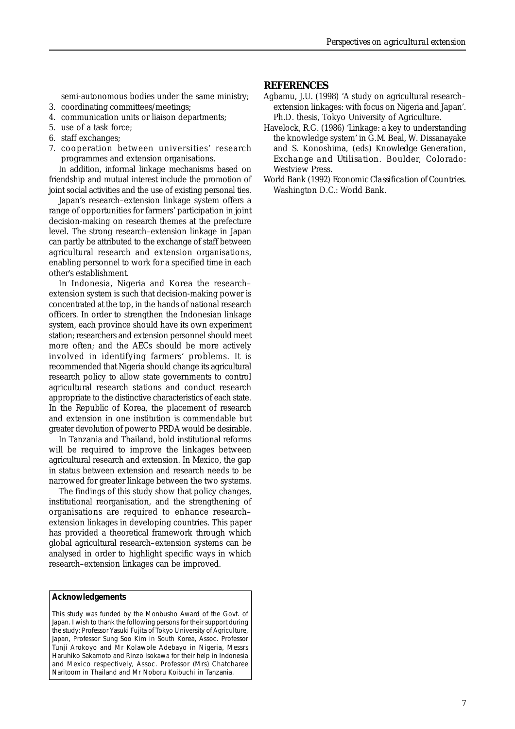semi-autonomous bodies under the same ministry;

- 3. coordinating committees/meetings;
- 4. communication units or liaison departments;
- 5. use of a task force;
- 6. staff exchanges;
- 7. cooperation between universities' research programmes and extension organisations.

In addition, informal linkage mechanisms based on friendship and mutual interest include the promotion of joint social activities and the use of existing personal ties.

Japan's research–extension linkage system offers a range of opportunities for farmers' participation in joint decision-making on research themes at the prefecture level. The strong research–extension linkage in Japan can partly be attributed to the exchange of staff between agricultural research and extension organisations, enabling personnel to work for a specified time in each other's establishment.

In Indonesia, Nigeria and Korea the research– extension system is such that decision-making power is concentrated at the top, in the hands of national research officers. In order to strengthen the Indonesian linkage system, each province should have its own experiment station; researchers and extension personnel should meet more often; and the AECs should be more actively involved in identifying farmers' problems. It is recommended that Nigeria should change its agricultural research policy to allow state governments to control agricultural research stations and conduct research appropriate to the distinctive characteristics of each state. In the Republic of Korea, the placement of research and extension in one institution is commendable but greater devolution of power to PRDA would be desirable.

In Tanzania and Thailand, bold institutional reforms will be required to improve the linkages between agricultural research and extension. In Mexico, the gap in status between extension and research needs to be narrowed for greater linkage between the two systems.

The findings of this study show that policy changes, institutional reorganisation, and the strengthening of organisations are required to enhance research– extension linkages in developing countries. This paper has provided a theoretical framework through which global agricultural research–extension systems can be analysed in order to highlight specific ways in which research–extension linkages can be improved.

#### **Acknowledgements**

This study was funded by the Monbusho Award of the Govt. of Japan. I wish to thank the following persons for their support during the study: Professor Yasuki Fujita of Tokyo University of Agriculture, Japan, Professor Sung Soo Kim in South Korea, Assoc. Professor Tunji Arokoyo and Mr Kolawole Adebayo in Nigeria, Messrs Haruhiko Sakamoto and Rinzo Isokawa for their help in Indonesia and Mexico respectively, Assoc. Professor (Mrs) Chatcharee Naritoom in Thailand and Mr Noboru Koibuchi in Tanzania.

#### **REFERENCES**

- Agbamu, J.U. (1998) 'A study on agricultural research– extension linkages: with focus on Nigeria and Japan'. Ph.D. thesis, Tokyo University of Agriculture.
- Havelock, R.G. (1986) 'Linkage: a key to understanding the knowledge system' in G.M. Beal, W. Dissanayake and S. Konoshima, (eds) *Knowledge Generation, Exchange and Utilisation*. Boulder, Colorado: Westview Press.
- World Bank (1992) *Economic Classification of Countries.* Washington D.C.: World Bank.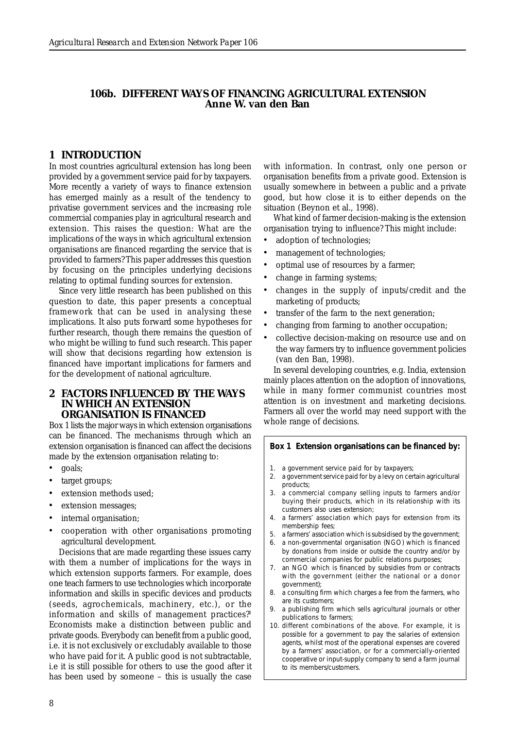## **106b. DIFFERENT WAYS OF FINANCING AGRICULTURAL EXTENSION Anne W. van den Ban**

#### **1 INTRODUCTION**

In most countries agricultural extension has long been provided by a government service paid for by taxpayers. More recently a variety of ways to finance extension has emerged mainly as a result of the tendency to privatise government services and the increasing role commercial companies play in agricultural research and extension. This raises the question: What are the implications of the ways in which agricultural extension organisations are financed regarding the service that is provided to farmers? This paper addresses this question by focusing on the principles underlying decisions relating to optimal funding sources for extension.

Since very little research has been published on this question to date, this paper presents a conceptual framework that can be used in analysing these implications. It also puts forward some hypotheses for further research, though there remains the question of who might be willing to fund such research. This paper will show that decisions regarding how extension is financed have important implications for farmers and for the development of national agriculture.

#### **2 FACTORS INFLUENCED BY THE WAYS IN WHICH AN EXTENSION ORGANISATION IS FINANCED**

Box 1 lists the major ways in which extension organisations can be financed. The mechanisms through which an extension organisation is financed can affect the decisions made by the extension organisation relating to:

- goals;
- target groups;
- extension methods used:
- extension messages;
- internal organisation;
- cooperation with other organisations promoting agricultural development.

Decisions that are made regarding these issues carry with them a number of implications for the ways in which extension supports farmers. For example, does one teach farmers to use technologies which incorporate information and skills in specific devices and products (seeds, agrochemicals, machinery, etc.), or the information and skills of management practices?<sup>1</sup> Economists make a distinction between public and private goods. Everybody can benefit from a public good, i.e. it is not exclusively or excludably available to those who have paid for it. A public good is not subtractable, i.e it is still possible for others to use the good after it has been used by someone – this is usually the case

with information. In contrast, only one person or organisation benefits from a private good. Extension is usually somewhere in between a public and a private good, but how close it is to either depends on the situation (Beynon et al., 1998).

What kind of farmer decision-making is the extension organisation trying to influence? This might include:

- adoption of technologies;
- management of technologies;
- optimal use of resources by a farmer;
- change in farming systems;
- changes in the supply of inputs/credit and the marketing of products;
- transfer of the farm to the next generation;
- changing from farming to another occupation;
- collective decision-making on resource use and on the way farmers try to influence government policies (van den Ban, 1998).

In several developing countries, e.g. India, extension mainly places attention on the adoption of innovations, while in many former communist countries most attention is on investment and marketing decisions. Farmers all over the world may need support with the whole range of decisions.

#### **Box 1 Extension organisations can be financed by:**

- 1. a government service paid for by taxpayers;
- 2. a government service paid for by a levy on certain agricultural products;
- 3. a commercial company selling inputs to farmers and/or buying their products, which in its relationship with its customers also uses extension;
- 4. a farmers' association which pays for extension from its membership fees;
- 5. a farmers' association which is subsidised by the government;
- 6. a non-governmental organisation (NGO) which is financed by donations from inside or outside the country and/or by commercial companies for public relations purposes;
- 7. an NGO which is financed by subsidies from or contracts with the government (either the national or a donor government);
- 8. a consulting firm which charges a fee from the farmers, who are its customers;
- a publishing firm which sells agricultural journals or other publications to farmers;
- 10. different combinations of the above. For example, it is possible for a government to pay the salaries of extension agents, whilst most of the operational expenses are covered by a farmers' association, or for a commercially-oriented cooperative or input-supply company to send a farm journal to its members/customers.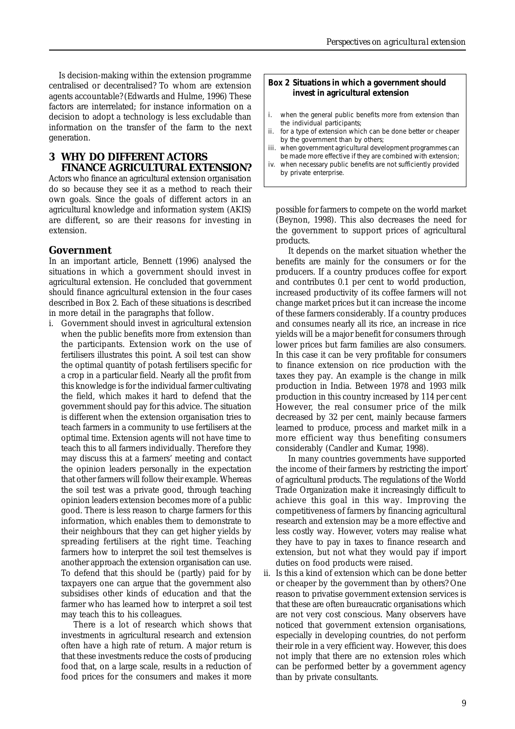Is decision-making within the extension programme centralised or decentralised? To whom are extension agents accountable? (Edwards and Hulme, 1996) These factors are interrelated; for instance information on a decision to adopt a technology is less excludable than information on the transfer of the farm to the next generation.

## **3 WHY DO DIFFERENT ACTORS FINANCE AGRICULTURAL EXTENSION?**

Actors who finance an agricultural extension organisation do so because they see it as a method to reach their own goals. Since the goals of different actors in an agricultural knowledge and information system (AKIS) are different, so are their reasons for investing in extension.

## **Government**

In an important article, Bennett (1996) analysed the situations in which a government should invest in agricultural extension. He concluded that government should finance agricultural extension in the four cases described in Box 2. Each of these situations is described in more detail in the paragraphs that follow.

i. Government should invest in agricultural extension when the public benefits more from extension than the participants. Extension work on the use of fertilisers illustrates this point. A soil test can show the optimal quantity of potash fertilisers specific for a crop in a particular field. Nearly all the profit from this knowledge is for the individual farmer cultivating the field, which makes it hard to defend that the government should pay for this advice. The situation is different when the extension organisation tries to teach farmers in a community to use fertilisers at the optimal time. Extension agents will not have time to teach this to all farmers individually. Therefore they may discuss this at a farmers' meeting and contact the opinion leaders personally in the expectation that other farmers will follow their example. Whereas the soil test was a private good, through teaching opinion leaders extension becomes more of a public good. There is less reason to charge farmers for this information, which enables them to demonstrate to their neighbours that they can get higher yields by spreading fertilisers at the right time. Teaching farmers how to interpret the soil test themselves is another approach the extension organisation can use. To defend that this should be (partly) paid for by taxpayers one can argue that the government also subsidises other kinds of education and that the farmer who has learned how to interpret a soil test may teach this to his colleagues.

There is a lot of research which shows that investments in agricultural research and extension often have a high rate of return. A major return is that these investments reduce the costs of producing food that, on a large scale, results in a reduction of food prices for the consumers and makes it more

#### **Box 2 Situations in which a government should invest in agricultural extension**

- i. when the general public benefits more from extension than the individual participants;
- ii. for a type of extension which can be done better or cheaper by the government than by others;
- when government agricultural development programmes can be made more effective if they are combined with extension;
- iv. when necessary public benefits are not sufficiently provided by private enterprise.

possible for farmers to compete on the world market (Beynon, 1998). This also decreases the need for the government to support prices of agricultural products.

It depends on the market situation whether the benefits are mainly for the consumers or for the producers. If a country produces coffee for export and contributes 0.1 per cent to world production, increased productivity of its coffee farmers will not change market prices but it can increase the income of these farmers considerably. If a country produces and consumes nearly all its rice, an increase in rice yields will be a major benefit for consumers through lower prices but farm families are also consumers. In this case it can be very profitable for consumers to finance extension on rice production with the taxes they pay. An example is the change in milk production in India. Between 1978 and 1993 milk production in this country increased by 114 per cent However, the real consumer price of the milk decreased by 32 per cent, mainly because farmers learned to produce, process and market milk in a more efficient way thus benefiting consumers considerably (Candler and Kumar, 1998).

In many countries governments have supported the income of their farmers by restricting the import *.* of agricultural products. The regulations of the World Trade Organization make it increasingly difficult to achieve this goal in this way. Improving the competitiveness of farmers by financing agricultural research and extension may be a more effective and less costly way. However, voters may realise what they have to pay in taxes to finance research and extension, but not what they would pay if import duties on food products were raised.

ii. Is this a kind of extension which can be done better or cheaper by the government than by others? One reason to privatise government extension services is that these are often bureaucratic organisations which are not very cost conscious. Many observers have noticed that government extension organisations, especially in developing countries, do not perform their role in a very efficient way. However, this does not imply that there are no extension roles which can be performed better by a government agency than by private consultants.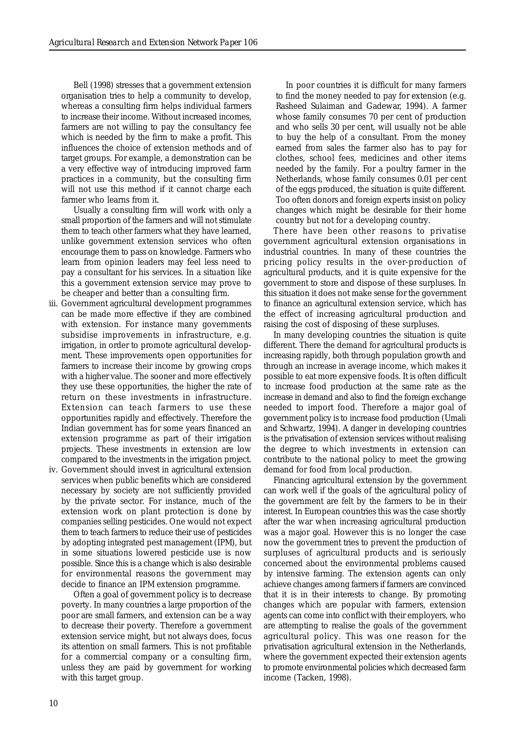Bell (1998) stresses that a government extension organisation tries to help a community to develop, whereas a consulting firm helps individual farmers to increase their income. Without increased incomes, farmers are not willing to pay the consultancy fee which is needed by the firm to make a profit. This influences the choice of extension methods and of target groups. For example, a demonstration can be a very effective way of introducing improved farm practices in a community, but the consulting firm will not use this method if it cannot charge each farmer who learns from it.

Usually a consulting firm will work with only a small proportion of the farmers and will not stimulate them to teach other farmers what they have learned, unlike government extension services who often encourage them to pass on knowledge. Farmers who learn from opinion leaders may feel less need to pay a consultant for his services. In a situation like this a government extension service may prove to be cheaper and better than a consulting firm.

- iii. Government agricultural development programmes can be made more effective if they are combined with extension. For instance many governments subsidise improvements in infrastructure, e.g. irrigation, in order to promote agricultural development. These improvements open opportunities for farmers to increase their income by growing crops with a higher value. The sooner and more effectively they use these opportunities, the higher the rate of return on these investments in infrastructure. Extension can teach farmers to use these opportunities rapidly and effectively. Therefore the Indian government has for some years financed an extension programme as part of their irrigation projects. These investments in extension are low compared to the investments in the irrigation project.
- iv. Government should invest in agricultural extension services when public benefits which are considered necessary by society are not sufficiently provided by the private sector. For instance, much of the extension work on plant protection is done by companies selling pesticides. One would not expect them to teach farmers to reduce their use of pesticides by adopting integrated pest management (IPM), but in some situations lowered pesticide use is now possible. Since this is a change which is also desirable for environmental reasons the government may decide to finance an IPM extension programme.

Often a goal of government policy is to decrease poverty. In many countries a large proportion of the poor are small farmers, and extension can be a way to decrease their poverty. Therefore a government extension service might, but not always does, focus its attention on small farmers. This is not profitable for a commercial company or a consulting firm, unless they are paid by government for working with this target group.

In poor countries it is difficult for many farmers to find the money needed to pay for extension (e.g. Rasheed Sulaiman and Gadewar, 1994). A farmer whose family consumes 70 per cent of production and who sells 30 per cent, will usually not be able to buy the help of a consultant. From the money earned from sales the farmer also has to pay for clothes, school fees, medicines and other items needed by the family. For a poultry farmer in the Netherlands, whose family consumes 0.01 per cent of the eggs produced, the situation is quite different. Too often donors and foreign experts insist on policy changes which might be desirable for their home country but not for a developing country.

There have been other reasons to privatise government agricultural extension organisations in industrial countries. In many of these countries the pricing policy results in the over-production of agricultural products, and it is quite expensive for the government to store and dispose of these surpluses. In this situation it does not make sense for the government to finance an agricultural extension service, which has the effect of increasing agricultural production and raising the cost of disposing of these surpluses.

In many developing countries the situation is quite different. There the demand for agricultural products is increasing rapidly, both through population growth and through an increase in average income, which makes it possible to eat more expensive foods. It is often difficult to increase food production at the same rate as the increase in demand and also to find the foreign exchange needed to import food. Therefore a major goal of government policy is to increase food production (Umali and Schwartz, 1994). A danger in developing countries is the privatisation of extension services without realising the degree to which investments in extension can contribute to the national policy to meet the growing demand for food from local production.

Financing agricultural extension by the government can work well if the goals of the agricultural policy of the government are felt by the farmers to be in their interest. In European countries this was the case shortly after the war when increasing agricultural production was a major goal. However this is no longer the case now the government tries to prevent the production of surpluses of agricultural products and is seriously concerned about the environmental problems caused by intensive farming. The extension agents can only achieve changes among farmers if farmers are convinced that it is in their interests to change. By promoting changes which are popular with farmers, extension agents can come into conflict with their employers, who are attempting to realise the goals of the government agricultural policy. This was one reason for the privatisation agricultural extension in the Netherlands, where the government expected their extension agents to promote environmental policies which decreased farm income (Tacken, 1998).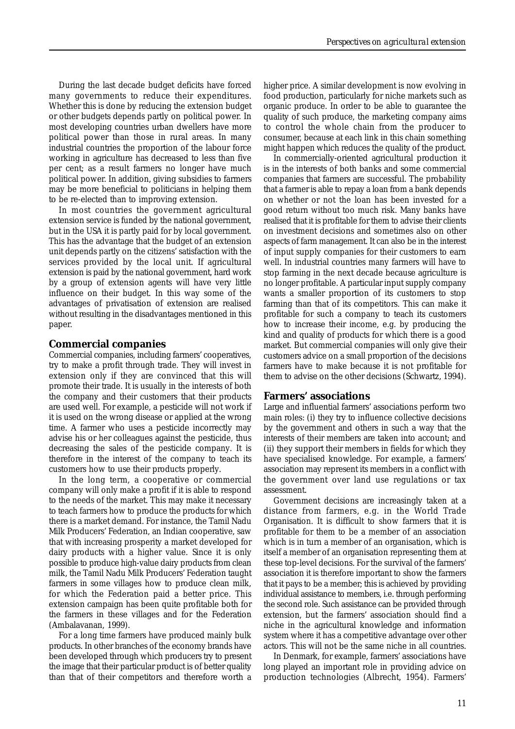During the last decade budget deficits have forced many governments to reduce their expenditures. Whether this is done by reducing the extension budget or other budgets depends partly on political power. In most developing countries urban dwellers have more political power than those in rural areas. In many industrial countries the proportion of the labour force working in agriculture has decreased to less than five per cent; as a result farmers no longer have much political power. In addition, giving subsidies to farmers may be more beneficial to politicians in helping them to be re-elected than to improving extension.

In most countries the government agricultural extension service is funded by the national government, but in the USA it is partly paid for by local government. This has the advantage that the budget of an extension unit depends partly on the citizens' satisfaction with the services provided by the local unit. If agricultural extension is paid by the national government, hard work by a group of extension agents will have very little influence on their budget. In this way some of the advantages of privatisation of extension are realised without resulting in the disadvantages mentioned in this paper.

## **Commercial companies**

Commercial companies, including farmers' cooperatives, try to make a profit through trade. They will invest in extension only if they are convinced that this will promote their trade. It is usually in the interests of both the company and their customers that their products are used well. For example, a pesticide will not work if it is used on the wrong disease or applied at the wrong time. A farmer who uses a pesticide incorrectly may advise his or her colleagues against the pesticide, thus decreasing the sales of the pesticide company. It is therefore in the interest of the company to teach its customers how to use their products properly.

In the long term, a cooperative or commercial company will only make a profit if it is able to respond to the needs of the market. This may make it necessary to teach farmers how to produce the products for which there is a market demand. For instance, the Tamil Nadu Milk Producers' Federation, an Indian cooperative, saw that with increasing prosperity a market developed for dairy products with a higher value. Since it is only possible to produce high-value dairy products from clean milk, the Tamil Nadu Milk Producers' Federation taught farmers in some villages how to produce clean milk, for which the Federation paid a better price. This extension campaign has been quite profitable both for the farmers in these villages and for the Federation (Ambalavanan, 1999).

For a long time farmers have produced mainly bulk products. In other branches of the economy brands have been developed through which producers try to present the image that their particular product is of better quality than that of their competitors and therefore worth a higher price. A similar development is now evolving in food production, particularly for niche markets such as organic produce. In order to be able to guarantee the quality of such produce, the marketing company aims to control the whole chain from the producer to consumer, because at each link in this chain something might happen which reduces the quality of the product.

In commercially-oriented agricultural production it is in the interests of both banks and some commercial companies that farmers are successful. The probability that a farmer is able to repay a loan from a bank depends on whether or not the loan has been invested for a good return without too much risk. Many banks have realised that it is profitable for them to advise their clients on investment decisions and sometimes also on other aspects of farm management. It can also be in the interest of input supply companies for their customers to earn well. In industrial countries many farmers will have to stop farming in the next decade because agriculture is no longer profitable. A particular input supply company wants a smaller proportion of its customers to stop farming than that of its competitors. This can make it profitable for such a company to teach its customers how to increase their income, e.g. by producing the kind and quality of products for which there is a good market. But commercial companies will only give their customers advice on a small proportion of the decisions farmers have to make because it is not profitable for them to advise on the other decisions (Schwartz, 1994).

## **Farmers' associations**

Large and influential farmers' associations perform two main roles: (i) they try to influence collective decisions by the government and others in such a way that the interests of their members are taken into account; and (ii) they support their members in fields for which they have specialised knowledge. For example, a farmers' association may represent its members in a conflict with the government over land use regulations or tax assessment.

Government decisions are increasingly taken at a distance from farmers, e.g. in the World Trade Organisation. It is difficult to show farmers that it is profitable for them to be a member of an association which is in turn a member of an organisation, which is itself a member of an organisation representing them at these top-level decisions. For the survival of the farmers' association it is therefore important to show the farmers that it pays to be a member; this is achieved by providing individual assistance to members, i.e. through performing the second role. Such assistance can be provided through extension, but the farmers' association should find a niche in the agricultural knowledge and information system where it has a competitive advantage over other actors. This will not be the same niche in all countries.

In Denmark, for example, farmers' associations have long played an important role in providing advice on production technologies (Albrecht, 1954). Farmers'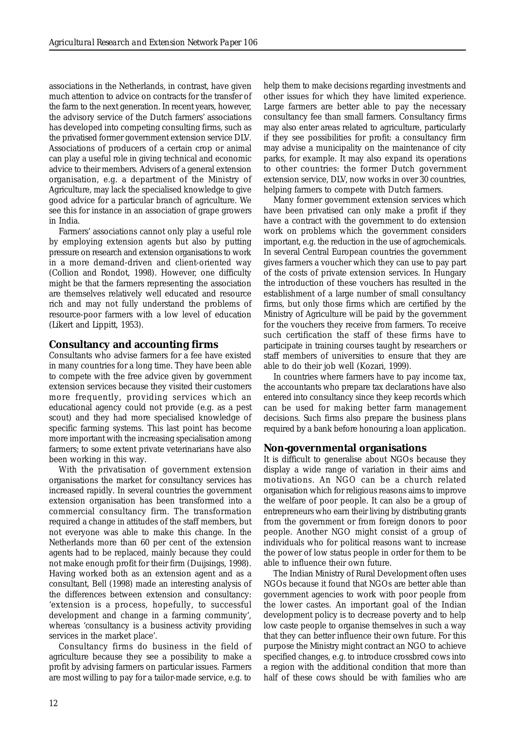associations in the Netherlands, in contrast, have given much attention to advice on contracts for the transfer of the farm to the next generation. In recent years, however, the advisory service of the Dutch farmers' associations has developed into competing consulting firms, such as the privatised former government extension service DLV. Associations of producers of a certain crop or animal can play a useful role in giving technical and economic advice to their members. Advisers of a general extension organisation, e.g. a department of the Ministry of Agriculture, may lack the specialised knowledge to give good advice for a particular branch of agriculture. We see this for instance in an association of grape growers in India.

Farmers' associations cannot only play a useful role by employing extension agents but also by putting pressure on research and extension organisations to work in a more demand-driven and client-oriented way (Collion and Rondot, 1998). However, one difficulty might be that the farmers representing the association are themselves relatively well educated and resource rich and may not fully understand the problems of resource-poor farmers with a low level of education (Likert and Lippitt, 1953).

## **Consultancy and accounting firms**

Consultants who advise farmers for a fee have existed in many countries for a long time. They have been able to compete with the free advice given by government extension services because they visited their customers more frequently, providing services which an educational agency could not provide (e.g. as a pest scout) and they had more specialised knowledge of specific farming systems. This last point has become more important with the increasing specialisation among farmers; to some extent private veterinarians have also been working in this way.

With the privatisation of government extension organisations the market for consultancy services has increased rapidly. In several countries the government extension organisation has been transformed into a commercial consultancy firm. The transformation required a change in attitudes of the staff members, but not everyone was able to make this change. In the Netherlands more than 60 per cent of the extension agents had to be replaced, mainly because they could not make enough profit for their firm (Duijsings, 1998). Having worked both as an extension agent and as a consultant, Bell (1998) made an interesting analysis of the differences between extension and consultancy: 'extension is a process, hopefully, to successful development and change in a farming community', whereas 'consultancy is a business activity providing services in the market place'.

Consultancy firms do business in the field of agriculture because they see a possibility to make a profit by advising farmers on particular issues. Farmers are most willing to pay for a tailor-made service, e.g. to

help them to make decisions regarding investments and other issues for which they have limited experience. Large farmers are better able to pay the necessary consultancy fee than small farmers. Consultancy firms may also enter areas related to agriculture, particularly if they see possibilities for profit: a consultancy firm may advise a municipality on the maintenance of city parks, for example. It may also expand its operations to other countries: the former Dutch government extension service, DLV, now works in over 30 countries, helping farmers to compete with Dutch farmers.

Many former government extension services which have been privatised can only make a profit if they have a contract with the government to do extension work on problems which the government considers important, e.g. the reduction in the use of agrochemicals. In several Central European countries the government gives farmers a voucher which they can use to pay part of the costs of private extension services. In Hungary the introduction of these vouchers has resulted in the establishment of a large number of small consultancy firms, but only those firms which are certified by the Ministry of Agriculture will be paid by the government for the vouchers they receive from farmers. To receive such certification the staff of these firms have to participate in training courses taught by researchers or staff members of universities to ensure that they are able to do their job well (Kozari, 1999).

In countries where farmers have to pay income tax, the accountants who prepare tax declarations have also entered into consultancy since they keep records which can be used for making better farm management decisions. Such firms also prepare the business plans required by a bank before honouring a loan application.

## **Non-governmental organisations**

It is difficult to generalise about NGOs because they display a wide range of variation in their aims and motivations. An NGO can be a church related organisation which for religious reasons aims to improve the welfare of poor people. It can also be a group of entrepreneurs who earn their living by distributing grants from the government or from foreign donors to poor people. Another NGO might consist of a group of individuals who for political reasons want to increase the power of low status people in order for them to be able to influence their own future.

The Indian Ministry of Rural Development often uses NGOs because it found that NGOs are better able than government agencies to work with poor people from the lower castes. An important goal of the Indian development policy is to decrease poverty and to help low caste people to organise themselves in such a way that they can better influence their own future. For this purpose the Ministry might contract an NGO to achieve specified changes, e.g. to introduce crossbred cows into a region with the additional condition that more than half of these cows should be with families who are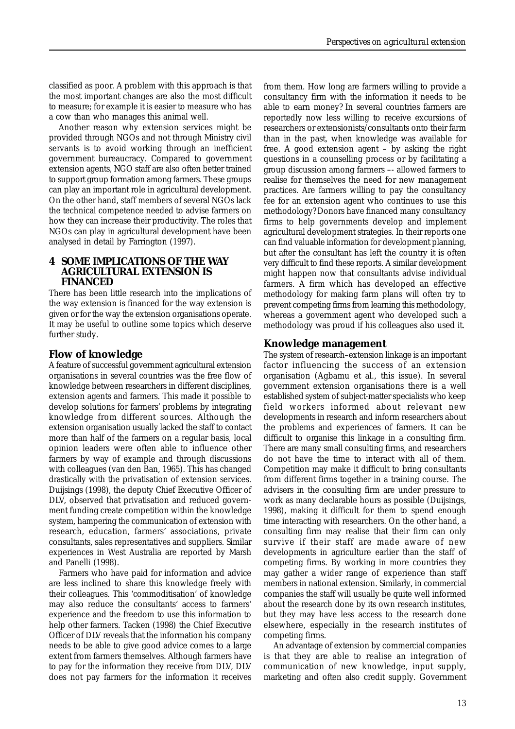classified as poor. A problem with this approach is that the most important changes are also the most difficult to measure; for example it is easier to measure who has a cow than who manages this animal well.

Another reason why extension services might be provided through NGOs and not through Ministry civil servants is to avoid working through an inefficient government bureaucracy. Compared to government extension agents, NGO staff are also often better trained to support group formation among farmers. These groups can play an important role in agricultural development. On the other hand, staff members of several NGOs lack the technical competence needed to advise farmers on how they can increase their productivity. The roles that NGOs can play in agricultural development have been analysed in detail by Farrington (1997).

## **4 SOME IMPLICATIONS OF THE WAY AGRICULTURAL EXTENSION IS FINANCED**

There has been little research into the implications of the way extension is financed for the way extension is given or for the way the extension organisations operate. It may be useful to outline some topics which deserve further study.

## **Flow of knowledge**

A feature of successful government agricultural extension organisations in several countries was the free flow of knowledge between researchers in different disciplines, extension agents and farmers. This made it possible to develop solutions for farmers' problems by integrating knowledge from different sources. Although the extension organisation usually lacked the staff to contact more than half of the farmers on a regular basis, local opinion leaders were often able to influence other farmers by way of example and through discussions with colleagues (van den Ban, 1965). This has changed drastically with the privatisation of extension services. Duijsings (1998), the deputy Chief Executive Officer of DLV, observed that privatisation and reduced government funding create competition within the knowledge system, hampering the communication of extension with research, education, farmers' associations, private consultants, sales representatives and suppliers. Similar experiences in West Australia are reported by Marsh and Panelli (1998).

Farmers who have paid for information and advice are less inclined to share this knowledge freely with their colleagues. This 'commoditisation' of knowledge may also reduce the consultants' access to farmers' experience and the freedom to use this information to help other farmers. Tacken (1998) the Chief Executive Officer of DLV reveals that the information his company needs to be able to give good advice comes to a large extent from farmers themselves. Although farmers have to pay for the information they receive from DLV, DLV does not pay farmers for the information it receives from them. How long are farmers willing to provide a consultancy firm with the information it needs to be able to earn money? In several countries farmers are reportedly now less willing to receive excursions of researchers or extensionists/consultants onto their farm than in the past, when knowledge was available for free. A good extension agent – by asking the right questions in a counselling process or by facilitating a group discussion among farmers –- allowed farmers to realise for themselves the need for new management practices. Are farmers willing to pay the consultancy fee for an extension agent who continues to use this methodology? Donors have financed many consultancy firms to help governments develop and implement agricultural development strategies. In their reports one can find valuable information for development planning, but after the consultant has left the country it is often very difficult to find these reports. A similar development might happen now that consultants advise individual farmers. A firm which has developed an effective methodology for making farm plans will often try to prevent competing firms from learning this methodology, whereas a government agent who developed such a methodology was proud if his colleagues also used it.

## **Knowledge management**

The system of research–extension linkage is an important factor influencing the success of an extension organisation (Agbamu et al., this issue). In several government extension organisations there is a well established system of subject-matter specialists who keep field workers informed about relevant new developments in research and inform researchers about the problems and experiences of farmers. It can be difficult to organise this linkage in a consulting firm. There are many small consulting firms, and researchers do not have the time to interact with all of them. Competition may make it difficult to bring consultants from different firms together in a training course. The advisers in the consulting firm are under pressure to work as many declarable hours as possible (Duijsings, 1998), making it difficult for them to spend enough time interacting with researchers. On the other hand, a consulting firm may realise that their firm can only survive if their staff are made aware of new developments in agriculture earlier than the staff of competing firms. By working in more countries they may gather a wider range of experience than staff members in national extension. Similarly, in commercial companies the staff will usually be quite well informed about the research done by its own research institutes, but they may have less access to the research done elsewhere, especially in the research institutes of competing firms.

An advantage of extension by commercial companies is that they are able to realise an integration of communication of new knowledge, input supply, marketing and often also credit supply. Government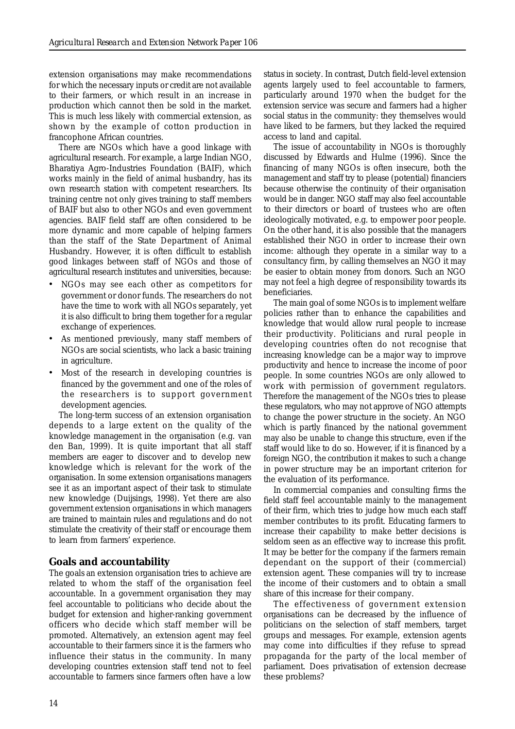extension organisations may make recommendations for which the necessary inputs or credit are not available to their farmers, or which result in an increase in production which cannot then be sold in the market. This is much less likely with commercial extension, as shown by the example of cotton production in francophone African countries.

There are NGOs which have a good linkage with agricultural research. For example, a large Indian NGO, Bharatiya Agro-Industries Foundation (BAIF), which works mainly in the field of animal husbandry, has its own research station with competent researchers. Its training centre not only gives training to staff members of BAIF but also to other NGOs and even government agencies. BAIF field staff are often considered to be more dynamic and more capable of helping farmers than the staff of the State Department of Animal Husbandry. However, it is often difficult to establish good linkages between staff of NGOs and those of agricultural research institutes and universities, because:

- NGOs may see each other as competitors for government or donor funds. The researchers do not have the time to work with all NGOs separately, yet it is also difficult to bring them together for a regular exchange of experiences.
- As mentioned previously, many staff members of NGOs are social scientists, who lack a basic training in agriculture.
- Most of the research in developing countries is financed by the government and one of the roles of the researchers is to support government development agencies.

The long-term success of an extension organisation depends to a large extent on the quality of the knowledge management in the organisation (e.g. van den Ban, 1999). It is quite important that all staff members are eager to discover and to develop new knowledge which is relevant for the work of the organisation. In some extension organisations managers see it as an important aspect of their task to stimulate new knowledge (Duijsings, 1998). Yet there are also government extension organisations in which managers are trained to maintain rules and regulations and do not stimulate the creativity of their staff or encourage them to learn from farmers' experience.

## **Goals and accountability**

The goals an extension organisation tries to achieve are related to whom the staff of the organisation feel accountable. In a government organisation they may feel accountable to politicians who decide about the budget for extension and higher-ranking government officers who decide which staff member will be promoted. Alternatively, an extension agent may feel accountable to their farmers since it is the farmers who influence their status in the community. In many developing countries extension staff tend not to feel accountable to farmers since farmers often have a low

status in society. In contrast, Dutch field-level extension agents largely used to feel accountable to farmers, particularly around 1970 when the budget for the extension service was secure and farmers had a higher social status in the community: they themselves would have liked to be farmers, but they lacked the required access to land and capital.

The issue of accountability in NGOs is thoroughly discussed by Edwards and Hulme (1996). Since the financing of many NGOs is often insecure, both the management and staff try to please (potential) financiers because otherwise the continuity of their organisation would be in danger. NGO staff may also feel accountable to their directors or board of trustees who are often ideologically motivated, e.g. to empower poor people. On the other hand, it is also possible that the managers established their NGO in order to increase their own income: although they operate in a similar way to a consultancy firm, by calling themselves an NGO it may be easier to obtain money from donors. Such an NGO may not feel a high degree of responsibility towards its beneficiaries.

The main goal of some NGOs is to implement welfare policies rather than to enhance the capabilities and knowledge that would allow rural people to increase their productivity. Politicians and rural people in developing countries often do not recognise that increasing knowledge can be a major way to improve productivity and hence to increase the income of poor people. In some countries NGOs are only allowed to work with permission of government regulators. Therefore the management of the NGOs tries to please these regulators, who may not approve of NGO attempts to change the power structure in the society. An NGO which is partly financed by the national government may also be unable to change this structure, even if the staff would like to do so. However, if it is financed by a foreign NGO, the contribution it makes to such a change in power structure may be an important criterion for the evaluation of its performance.

In commercial companies and consulting firms the field staff feel accountable mainly to the management of their firm, which tries to judge how much each staff member contributes to its profit. Educating farmers to increase their capability to make better decisions is seldom seen as an effective way to increase this profit. It may be better for the company if the farmers remain dependant on the support of their (commercial) extension agent. These companies will try to increase the income of their customers and to obtain a small share of this increase for their company.

The effectiveness of government extension organisations can be decreased by the influence of politicians on the selection of staff members, target groups and messages. For example, extension agents may come into difficulties if they refuse to spread propaganda for the party of the local member of parliament. Does privatisation of extension decrease these problems?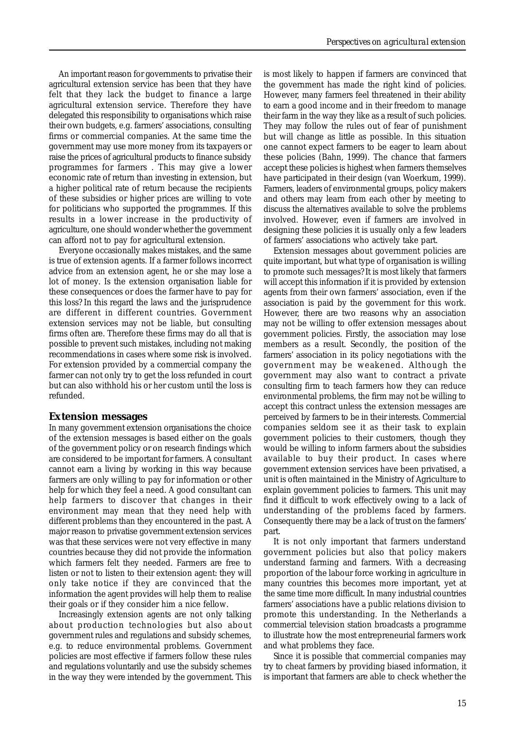An important reason for governments to privatise their agricultural extension service has been that they have felt that they lack the budget to finance a large agricultural extension service. Therefore they have delegated this responsibility to organisations which raise their own budgets, e.g. farmers' associations, consulting firms or commercial companies. At the same time the government may use more money from its taxpayers or raise the prices of agricultural products to finance subsidy programmes for farmers . This may give a lower economic rate of return than investing in extension, but a higher political rate of return because the recipients of these subsidies or higher prices are willing to vote for politicians who supported the programmes. If this results in a lower increase in the productivity of agriculture, one should wonder whether the government can afford not to pay for agricultural extension.

Everyone occasionally makes mistakes, and the same is true of extension agents. If a farmer follows incorrect advice from an extension agent, he or she may lose a lot of money. Is the extension organisation liable for these consequences or does the farmer have to pay for this loss? In this regard the laws and the jurisprudence are different in different countries. Government extension services may not be liable, but consulting firms often are. Therefore these firms may do all that is possible to prevent such mistakes, including not making recommendations in cases where some risk is involved. For extension provided by a commercial company the farmer can not only try to get the loss refunded in court but can also withhold his or her custom until the loss is refunded.

#### **Extension messages**

In many government extension organisations the choice of the extension messages is based either on the goals of the government policy or on research findings which are considered to be important for farmers. A consultant cannot earn a living by working in this way because farmers are only willing to pay for information or other help for which they feel a need. A good consultant can help farmers to discover that changes in their environment may mean that they need help with different problems than they encountered in the past. A major reason to privatise government extension services was that these services were not very effective in many countries because they did not provide the information which farmers felt they needed. Farmers are free to listen or not to listen to their extension agent: they will only take notice if they are convinced that the information the agent provides will help them to realise their goals or if they consider him a nice fellow.

Increasingly extension agents are not only talking about production technologies but also about government rules and regulations and subsidy schemes, e.g. to reduce environmental problems. Government policies are most effective if farmers follow these rules and regulations voluntarily and use the subsidy schemes in the way they were intended by the government. This is most likely to happen if farmers are convinced that the government has made the right kind of policies. However, many farmers feel threatened in their ability to earn a good income and in their freedom to manage their farm in the way they like as a result of such policies. They may follow the rules out of fear of punishment but will change as little as possible. In this situation one cannot expect farmers to be eager to learn about these policies (Bahn, 1999). The chance that farmers accept these policies is highest when farmers themselves have participated in their design (van Woerkum, 1999). Farmers, leaders of environmental groups, policy makers and others may learn from each other by meeting to discuss the alternatives available to solve the problems involved. However, even if farmers are involved in designing these policies it is usually only a few leaders of farmers' associations who actively take part.

Extension messages about government policies are quite important, but what type of organisation is willing to promote such messages? It is most likely that farmers will accept this information if it is provided by extension agents from their own farmers' association, even if the association is paid by the government for this work. However, there are two reasons why an association may not be willing to offer extension messages about government policies. Firstly, the association may lose members as a result. Secondly, the position of the farmers' association in its policy negotiations with the government may be weakened. Although the government may also want to contract a private consulting firm to teach farmers how they can reduce environmental problems, the firm may not be willing to accept this contract unless the extension messages are perceived by farmers to be in their interests. Commercial companies seldom see it as their task to explain government policies to their customers, though they would be willing to inform farmers about the subsidies available to buy their product. In cases where government extension services have been privatised, a unit is often maintained in the Ministry of Agriculture to explain government policies to farmers. This unit may find it difficult to work effectively owing to a lack of understanding of the problems faced by farmers. Consequently there may be a lack of trust on the farmers' part.

It is not only important that farmers understand government policies but also that policy makers understand farming and farmers. With a decreasing proportion of the labour force working in agriculture in many countries this becomes more important, yet at the same time more difficult. In many industrial countries farmers' associations have a public relations division to promote this understanding. In the Netherlands a commercial television station broadcasts a programme to illustrate how the most entrepreneurial farmers work and what problems they face.

Since it is possible that commercial companies may try to cheat farmers by providing biased information, it is important that farmers are able to check whether the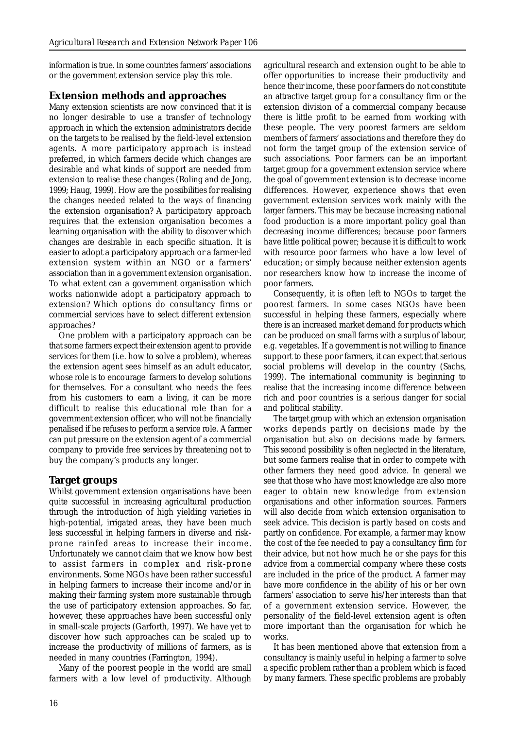information is true. In some countries farmers' associations or the government extension service play this role.

## **Extension methods and approaches**

Many extension scientists are now convinced that it is no longer desirable to use a transfer of technology approach in which the extension administrators decide on the targets to be realised by the field-level extension agents. A more participatory approach is instead preferred, in which farmers decide which changes are desirable and what kinds of support are needed from extension to realise these changes (Roling and de Jong, 1999; Haug, 1999). How are the possibilities for realising the changes needed related to the ways of financing the extension organisation? A participatory approach requires that the extension organisation becomes a learning organisation with the ability to discover which changes are desirable in each specific situation. It is easier to adopt a participatory approach or a farmer-led extension system within an NGO or a farmers' association than in a government extension organisation. To what extent can a government organisation which works nationwide adopt a participatory approach to extension? Which options do consultancy firms or commercial services have to select different extension approaches?

One problem with a participatory approach can be that some farmers expect their extension agent to provide services for them (i.e. how to solve a problem), whereas the extension agent sees himself as an adult educator, whose role is to encourage farmers to develop solutions for themselves. For a consultant who needs the fees from his customers to earn a living, it can be more difficult to realise this educational role than for a government extension officer, who will not be financially penalised if he refuses to perform a service role. A farmer can put pressure on the extension agent of a commercial company to provide free services by threatening not to buy the company's products any longer.

## **Target groups**

Whilst government extension organisations have been quite successful in increasing agricultural production through the introduction of high yielding varieties in high-potential, irrigated areas, they have been much less successful in helping farmers in diverse and riskprone rainfed areas to increase their income. Unfortunately we cannot claim that we know how best to assist farmers in complex and risk-prone environments. Some NGOs have been rather successful in helping farmers to increase their income and/or in making their farming system more sustainable through the use of participatory extension approaches. So far, however, these approaches have been successful only in small-scale projects (Garforth, 1997). We have yet to discover how such approaches can be scaled up to increase the productivity of millions of farmers, as is needed in many countries (Farrington, 1994).

Many of the poorest people in the world are small farmers with a low level of productivity. Although agricultural research and extension ought to be able to offer opportunities to increase their productivity and hence their income, these poor farmers do not constitute an attractive target group for a consultancy firm or the extension division of a commercial company because there is little profit to be earned from working with these people. The very poorest farmers are seldom members of farmers' associations and therefore they do not form the target group of the extension service of such associations. Poor farmers can be an important target group for a government extension service where the goal of government extension is to decrease income differences. However, experience shows that even government extension services work mainly with the larger farmers. This may be because increasing national food production is a more important policy goal than decreasing income differences; because poor farmers have little political power; because it is difficult to work with resource poor farmers who have a low level of education; or simply because neither extension agents nor researchers know how to increase the income of poor farmers.

Consequently, it is often left to NGOs to target the poorest farmers. In some cases NGOs have been successful in helping these farmers, especially where there is an increased market demand for products which can be produced on small farms with a surplus of labour, e.g. vegetables. If a government is not willing to finance support to these poor farmers, it can expect that serious social problems will develop in the country (Sachs, 1999). The international community is beginning to realise that the increasing income difference between rich and poor countries is a serious danger for social and political stability.

The target group with which an extension organisation works depends partly on decisions made by the organisation but also on decisions made by farmers. This second possibility is often neglected in the literature, but some farmers realise that in order to compete with other farmers they need good advice. In general we see that those who have most knowledge are also more eager to obtain new knowledge from extension organisations and other information sources. Farmers will also decide from which extension organisation to seek advice. This decision is partly based on costs and partly on confidence. For example, a farmer may know the cost of the fee needed to pay a consultancy firm for their advice, but not how much he or she pays for this advice from a commercial company where these costs are included in the price of the product. A farmer may have more confidence in the ability of his or her own farmers' association to serve his/her interests than that of a government extension service. However, the personality of the field-level extension agent is often more important than the organisation for which he works.

It has been mentioned above that extension from a consultancy is mainly useful in helping a farmer to solve a specific problem rather than a problem which is faced by many farmers. These specific problems are probably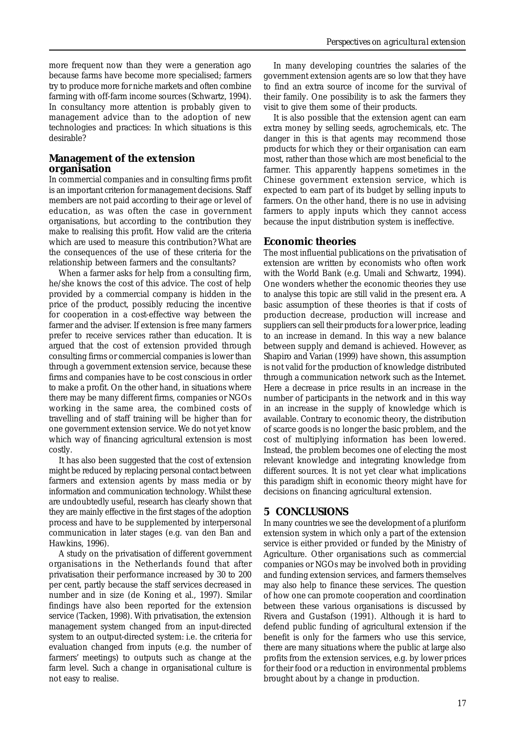more frequent now than they were a generation ago because farms have become more specialised; farmers try to produce more for niche markets and often combine farming with off-farm income sources (Schwartz, 1994). In consultancy more attention is probably given to management advice than to the adoption of new technologies and practices: In which situations is this desirable?

#### **Management of the extension organisation**

In commercial companies and in consulting firms profit is an important criterion for management decisions. Staff members are not paid according to their age or level of education, as was often the case in government organisations, but according to the contribution they make to realising this profit. How valid are the criteria which are used to measure this contribution? What are the consequences of the use of these criteria for the relationship between farmers and the consultants?

When a farmer asks for help from a consulting firm, he/she knows the cost of this advice. The cost of help provided by a commercial company is hidden in the price of the product, possibly reducing the incentive for cooperation in a cost-effective way between the farmer and the adviser. If extension is free many farmers prefer to receive services rather than education. It is argued that the cost of extension provided through consulting firms or commercial companies is lower than through a government extension service, because these firms and companies have to be cost conscious in order to make a profit. On the other hand, in situations where there may be many different firms, companies or NGOs working in the same area, the combined costs of travelling and of staff training will be higher than for one government extension service. We do not yet know which way of financing agricultural extension is most costly.

It has also been suggested that the cost of extension might be reduced by replacing personal contact between farmers and extension agents by mass media or by information and communication technology. Whilst these are undoubtedly useful, research has clearly shown that they are mainly effective in the first stages of the adoption process and have to be supplemented by interpersonal communication in later stages (e.g. van den Ban and Hawkins, 1996).

A study on the privatisation of different government organisations in the Netherlands found that after privatisation their performance increased by 30 to 200 per cent, partly because the staff services decreased in number and in size (de Koning et al., 1997). Similar findings have also been reported for the extension service (Tacken, 1998). With privatisation, the extension management system changed from an input-directed system to an output-directed system: i.e. the criteria for evaluation changed from inputs (e.g. the number of farmers' meetings) to outputs such as change at the farm level. Such a change in organisational culture is not easy to realise.

In many developing countries the salaries of the government extension agents are so low that they have to find an extra source of income for the survival of their family. One possibility is to ask the farmers they visit to give them some of their products.

It is also possible that the extension agent can earn extra money by selling seeds, agrochemicals, etc. The danger in this is that agents may recommend those products for which they or their organisation can earn most, rather than those which are most beneficial to the farmer. This apparently happens sometimes in the Chinese government extension service, which is expected to earn part of its budget by selling inputs to farmers. On the other hand, there is no use in advising farmers to apply inputs which they cannot access because the input distribution system is ineffective.

## **Economic theories**

The most influential publications on the privatisation of extension are written by economists who often work with the World Bank (e.g. Umali and Schwartz, 1994). One wonders whether the economic theories they use to analyse this topic are still valid in the present era. A basic assumption of these theories is that if costs of production decrease, production will increase and suppliers can sell their products for a lower price, leading to an increase in demand. In this way a new balance between supply and demand is achieved. However, as Shapiro and Varian (1999) have shown, this assumption is not valid for the production of knowledge distributed through a communication network such as the Internet. Here a decrease in price results in an increase in the number of participants in the network and in this way in an increase in the supply of knowledge which is available. Contrary to economic theory, the distribution of scarce goods is no longer the basic problem, and the cost of multiplying information has been lowered. Instead, the problem becomes one of electing the most relevant knowledge and integrating knowledge from different sources. It is not yet clear what implications this paradigm shift in economic theory might have for decisions on financing agricultural extension.

## **5 CONCLUSIONS**

In many countries we see the development of a pluriform extension system in which only a part of the extension service is either provided or funded by the Ministry of Agriculture. Other organisations such as commercial companies or NGOs may be involved both in providing and funding extension services, and farmers themselves may also help to finance these services. The question of how one can promote cooperation and coordination between these various organisations is discussed by Rivera and Gustafson (1991). Although it is hard to defend public funding of agricultural extension if the benefit is only for the farmers who use this service, there are many situations where the public at large also profits from the extension services, e.g. by lower prices for their food or a reduction in environmental problems brought about by a change in production.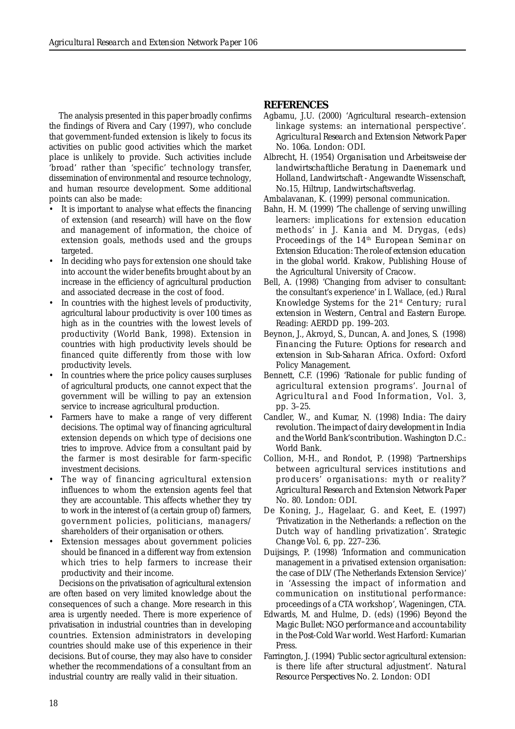The analysis presented in this paper broadly confirms the findings of Rivera and Cary (1997), who conclude that government-funded extension is likely to focus its activities on public good activities which the market place is unlikely to provide. Such activities include 'broad' rather than 'specific' technology transfer, dissemination of environmental and resource technology, and human resource development. Some additional points can also be made:

- It is important to analyse what effects the financing of extension (and research) will have on the flow and management of information, the choice of extension goals, methods used and the groups targeted.
- In deciding who pays for extension one should take into account the wider benefits brought about by an increase in the efficiency of agricultural production and associated decrease in the cost of food.
- In countries with the highest levels of productivity, agricultural labour productivity is over 100 times as high as in the countries with the lowest levels of productivity (World Bank, 1998). Extension in countries with high productivity levels should be financed quite differently from those with low productivity levels.
- In countries where the price policy causes surpluses of agricultural products, one cannot expect that the government will be willing to pay an extension service to increase agricultural production.
- Farmers have to make a range of very different decisions. The optimal way of financing agricultural extension depends on which type of decisions one tries to improve. Advice from a consultant paid by the farmer is most desirable for farm-specific investment decisions.
- The way of financing agricultural extension influences to whom the extension agents feel that they are accountable. This affects whether they try to work in the interest of (a certain group of) farmers, government policies, politicians, managers/ shareholders of their organisation or others.
- Extension messages about government policies should be financed in a different way from extension which tries to help farmers to increase their productivity and their income.

Decisions on the privatisation of agricultural extension are often based on very limited knowledge about the consequences of such a change. More research in this area is urgently needed. There is more experience of privatisation in industrial countries than in developing countries. Extension administrators in developing countries should make use of this experience in their decisions. But of course, they may also have to consider whether the recommendations of a consultant from an industrial country are really valid in their situation.

## **REFERENCES**

- Agbamu, J.U. (2000) 'Agricultural research–extension linkage systems: an international perspective'. *Agricultural Research and Extension Network Paper* No. 106a. London: ODI.
- Albrecht, H. (1954) *Organisation und Arbeitsweise der landwirtschaftliche Beratung in Daenemark und Holland,* Landwirtschaft - Angewandte Wissenschaft, No.15, Hiltrup, Landwirtschaftsverlag.
- Ambalavanan, K. (1999) personal communication.
- Bahn, H. M. (1999) 'The challenge of serving unwilling learners: implications for extension education methods' in J. Kania and M. Drygas, (eds) *Proceedings of the 14th European Seminar on Extension Education: The role of extension education in the global world.* Krakow, Publishing House of the Agricultural University of Cracow.
- Bell, A. (1998) 'Changing from adviser to consultant: the consultant's experience' in I. Wallace, (ed.) *Rural Knowledge Systems for the 21st Century; rural extension in Western, Central and Eastern Europe.* Reading: AERDD pp. 199–203.
- Beynon, J., Akroyd, S., Duncan, A. and Jones, S. (1998) *Financing the Future: Options for research and extension in Sub-Saharan Africa.* Oxford: Oxford Policy Management.
- Bennett, C.F. (1996) 'Rationale for public funding of agricultural extension programs'. *Journal of Agricultural and Food Information*, Vol. 3, pp. 3–25.
- Candler, W., and Kumar, N. (1998) *India: The dairy revolution. The impact of dairy development in India and the World Bank's contribution.* Washington D.C.: World Bank.
- Collion, M-H., and Rondot, P. (1998) 'Partnerships between agricultural services institutions and producers' organisations: myth or reality?' *Agricultural Research and Extension Network Paper* No. 80. London: ODI.
- De Koning, J., Hagelaar, G. and Keet, E. (1997) 'Privatization in the Netherlands: a reflection on the Dutch way of handling privatization'. *Strategic Change* Vol. 6, pp. 227–236.
- Duijsings, P. (1998) 'Information and communication management in a privatised extension organisation: the case of DLV (The Netherlands Extension Service)' in 'Assessing the impact of information and communication on institutional performance: proceedings of a CTA workshop'*,* Wageningen, CTA.
- Edwards, M. and Hulme, D. (eds) (1996) *Beyond the Magic Bullet: NGO performance and accountability in the Post-Cold War world.* West Harford: Kumarian Press.
- Farrington, J. (1994) 'Public sector agricultural extension: is there life after structural adjustment'. *Natural Resource Perspectives* No. 2. London: ODI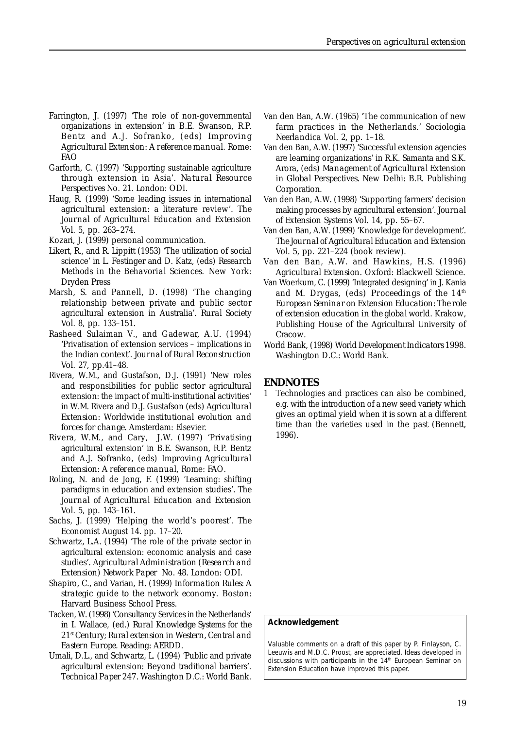- Farrington, J. (1997) 'The role of non-governmental organizations in extension' in B.E. Swanson, R.P. Bentz and A.J. Sofranko, (eds) *Improving Agricultural Extension: A reference manual.* Rome: FAO
- Garforth, C. (1997) 'Supporting sustainable agriculture through extension in Asia'. *Natural Resource Perspectives* No. 21. London: ODI.
- Haug, R. (1999) 'Some leading issues in international agricultural extension: a literature review'. *The Journal of Agricultural Education and Extension* Vol. 5, pp. 263–274.
- Kozari, J. (1999) personal communication.
- Likert, R., and R. Lippitt (1953) 'The utilization of social science' in L. Festinger and D. Katz, (eds) *Research Methods in the Behavorial Sciences.* New York: Dryden Press
- Marsh, S. and Pannell, D. (1998) 'The changing relationship between private and public sector agricultural extension in Australia'. *Rural Society* Vol. 8, pp. 133–151.
- Rasheed Sulaiman V., and Gadewar, A.U. (1994) 'Privatisation of extension services – implications in the Indian context'. *Journal of Rural Reconstruction* Vol. 27, pp.41–48.
- Rivera, W.M., and Gustafson, D.J. (1991) 'New roles and responsibilities for public sector agricultural extension: the impact of multi-institutional activities' in W.M. Rivera and D.J. Gustafson (eds) *Agricultural Extension: Worldwide institutional evolution and forces for change.* Amsterdam: Elsevier.
- Rivera, W.M., and Cary, J.W. (1997) 'Privatising agricultural extension' in B.E. Swanson, R.P. Bentz and A.J. Sofranko, (eds) *Improving Agricultural Extension: A reference manual,* Rome: FAO.
- Roling, N. and de Jong, F. (1999) 'Learning: shifting paradigms in education and extension studies'. *The Journal of Agricultural Education and Extension* Vol. 5, pp. 143–161.
- Sachs, J. (1999) 'Helping the world's poorest'. *The Economist* August 14. pp. 17–20.
- Schwartz, L.A. (1994) 'The role of the private sector in agricultural extension: economic analysis and case studies'. *Agricultural Administration (Research and Extension) Network Paper* No. 48. London: ODI.
- Shapiro, C., and Varian, H. (1999) *Information Rules: A strategic guide to the network economy.* Boston: Harvard Business School Press.
- Tacken, W. (1998) 'Consultancy Services in the Netherlands' in I. Wallace, (ed.) *Rural Knowledge Systems for the 21st Century; Rural extension in Western, Central and Eastern Europe.* Reading: AERDD.
- Umali, D.L., and Schwartz, L. (1994) 'Public and private agricultural extension: Beyond traditional barriers'. *Technical Paper 247.* Washington D.C.: World Bank.
- Van den Ban, A.W. (1965) 'The communication of new farm practices in the Netherlands.' *Sociologia Neerlandica* Vol. 2, pp. 1–18.
- Van den Ban, A.W. (1997) 'Successful extension agencies are learning organizations' in R.K. Samanta and S.K. Arora, (eds) *Management of Agricultural Extension in Global Perspectives.* New Delhi: B.R. Publishing Corporation.
- Van den Ban, A.W. (1998) 'Supporting farmers' decision making processes by agricultural extension'. *Journal of Extension Systems* Vol. 14, pp. 55–67.
- Van den Ban, A.W. (1999) 'Knowledge for development'. *The Journal of Agricultural Education and Extension* Vol. 5, pp. 221–224 (book review).
- Van den Ban, A.W. and Hawkins, H.S. (1996) *Agricultural Extension.* Oxford: Blackwell Science.
- Van Woerkum, C. (1999) 'Integrated designing' in J. Kania and M. Drygas, (eds) *Proceedings of the 14th European Seminar on Extension Education: The role of extension education in the global world.* Krakow, Publishing House of the Agricultural University of Cracow.
- World Bank, (1998) *World Development Indicators 1998*. Washington D.C.: World Bank.

## **ENDNOTES**

1 Technologies and practices can also be combined, e.g. with the introduction of a new seed variety which gives an optimal yield when it is sown at a different time than the varieties used in the past (Bennett, 1996).

#### **Acknowledgement**

Valuable comments on a draft of this paper by P. Finlayson, C. Leeuwis and M.D.C. Proost, are appreciated. Ideas developed in discussions with participants in the 14<sup>th</sup> European Seminar on Extension Education have improved this paper.